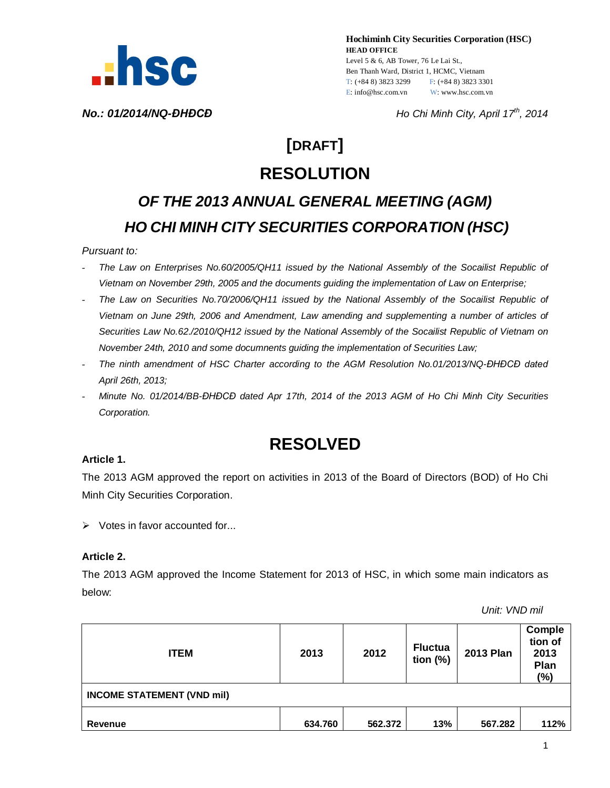

**Hochiminh City Securities Corporation (HSC) HEAD OFFICE** Level 5 & 6, AB Tower, 76 Le Lai St., Ben Thanh Ward, District 1, HCMC, Vietnam T: (+84 8) 3823 3299 F: (+84 8) 3823 3301 E: info@hsc.com.vn W: www.hsc.com.vn

*No.: 01/2014/NQ-ĐHĐCĐ Ho Chi Minh City, April 17th, 2014*

# **[DRAFT] RESOLUTION**

# *OF THE 2013 ANNUAL GENERAL MEETING (AGM) HO CHI MINH CITY SECURITIES CORPORATION (HSC)*

#### *Pursuant to:*

- *The Law on Enterprises No.60/2005/QH11 issued by the National Assembly of the Socailist Republic of Vietnam on November 29th, 2005 and the documents guiding the implementation of Law on Enterprise;*
- *The Law on Securities No.70/2006/QH11 issued by the National Assembly of the Socailist Republic of Vietnam on June 29th, 2006 and Amendment, Law amending and supplementing a number of articles of Securities Law No.62./2010/QH12 issued by the National Assembly of the Socailist Republic of Vietnam on November 24th, 2010 and some documnents guiding the implementation of Securities Law;*
- *The ninth amendment of HSC Charter according to the AGM Resolution No.01/2013/NQ-ĐHĐCĐ dated April 26th, 2013;*
- *Minute No. 01/2014/BB-ĐHĐCĐ dated Apr 17th, 2014 of the 2013 AGM of Ho Chi Minh City Securities Corporation.*

# **RESOLVED**

#### **Article 1.**

The 2013 AGM approved the report on activities in 2013 of the Board of Directors (BOD) of Ho Chi Minh City Securities Corporation.

 $\triangleright$  Votes in favor accounted for...

### **Article 2.**

The 2013 AGM approved the Income Statement for 2013 of HSC, in which some main indicators as below:

 *Unit: VND mil*

| <b>ITEM</b>                       | 2013    | 2012    | <b>Fluctua</b><br>tion $(\%)$ | <b>2013 Plan</b> | Comple<br>tion of<br>2013<br>Plan<br>(%) |  |  |  |
|-----------------------------------|---------|---------|-------------------------------|------------------|------------------------------------------|--|--|--|
| <b>INCOME STATEMENT (VND mil)</b> |         |         |                               |                  |                                          |  |  |  |
| Revenue                           | 634.760 | 562.372 | 13%                           | 567.282          | 112%                                     |  |  |  |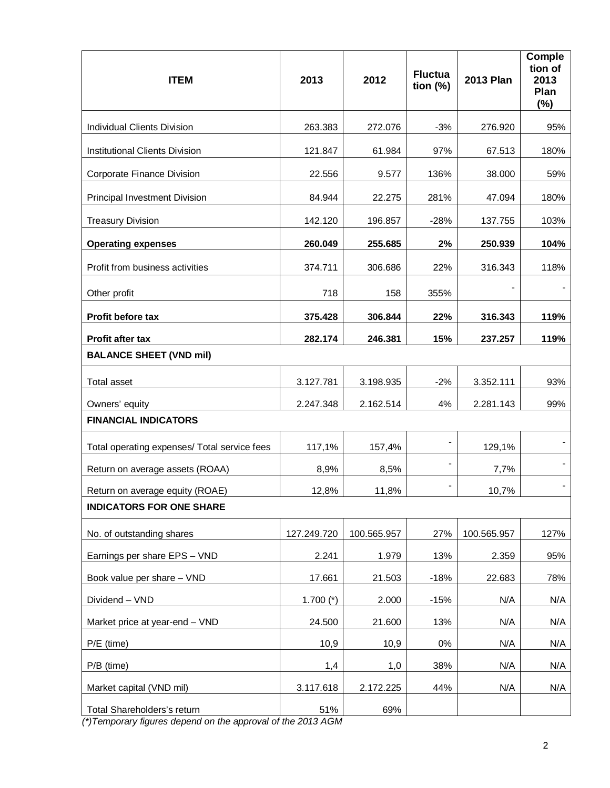| <b>ITEM</b>                                  | 2013        | 2012        | <b>Fluctua</b><br>tion $(\%)$ | <b>2013 Plan</b> | Comple<br>tion of<br>2013<br>Plan<br>(%) |
|----------------------------------------------|-------------|-------------|-------------------------------|------------------|------------------------------------------|
| Individual Clients Division                  | 263.383     | 272.076     | $-3%$                         | 276.920          | 95%                                      |
| Institutional Clients Division               | 121.847     | 61.984      | 97%                           | 67.513           | 180%                                     |
| Corporate Finance Division                   | 22.556      | 9.577       | 136%                          | 38.000           | 59%                                      |
| <b>Principal Investment Division</b>         | 84.944      | 22.275      | 281%                          | 47.094           | 180%                                     |
| <b>Treasury Division</b>                     | 142.120     | 196.857     | $-28%$                        | 137.755          | 103%                                     |
| <b>Operating expenses</b>                    | 260.049     | 255.685     | 2%                            | 250.939          | 104%                                     |
| Profit from business activities              | 374.711     | 306.686     | 22%                           | 316.343          | 118%                                     |
| Other profit                                 | 718         | 158         | 355%                          |                  |                                          |
| <b>Profit before tax</b>                     | 375.428     | 306.844     | 22%                           | 316.343          | 119%                                     |
| Profit after tax                             | 282.174     | 246.381     | 15%                           | 237.257          | 119%                                     |
| <b>BALANCE SHEET (VND mil)</b>               |             |             |                               |                  |                                          |
| <b>Total asset</b>                           | 3.127.781   | 3.198.935   | $-2%$                         | 3.352.111        | 93%                                      |
| Owners' equity                               | 2.247.348   | 2.162.514   | 4%                            | 2.281.143        | 99%                                      |
| <b>FINANCIAL INDICATORS</b>                  |             |             |                               |                  |                                          |
| Total operating expenses/ Total service fees | 117,1%      | 157,4%      | $\overline{\phantom{a}}$      | 129,1%           |                                          |
| Return on average assets (ROAA)              | 8,9%        | 8,5%        |                               | 7,7%             |                                          |
| Return on average equity (ROAE)              | 12,8%       | 11,8%       |                               | 10,7%            |                                          |
| <b>INDICATORS FOR ONE SHARE</b>              |             |             |                               |                  |                                          |
| No. of outstanding shares                    | 127.249.720 | 100.565.957 | 27%                           | 100.565.957      | 127%                                     |
| Earnings per share EPS - VND                 | 2.241       | 1.979       | 13%                           | 2.359            | 95%                                      |
| Book value per share - VND                   | 17.661      | 21.503      | $-18%$                        | 22.683           | 78%                                      |
| Dividend - VND                               | 1.700 $(*)$ | 2.000       | $-15%$                        | N/A              | N/A                                      |
| Market price at year-end - VND               | 24.500      | 21.600      | 13%                           | N/A              | N/A                                      |
| P/E (time)                                   | 10,9        | 10,9        | $0\%$                         | N/A              | N/A                                      |
| P/B (time)                                   | 1,4         | 1,0         | 38%                           | N/A              | N/A                                      |
| Market capital (VND mil)                     | 3.117.618   | 2.172.225   | 44%                           | N/A              | N/A                                      |
| Total Shareholders's return                  | 51%         | 69%         |                               |                  |                                          |

*(\*)Temporary figures depend on the approval of the 2013 AGM*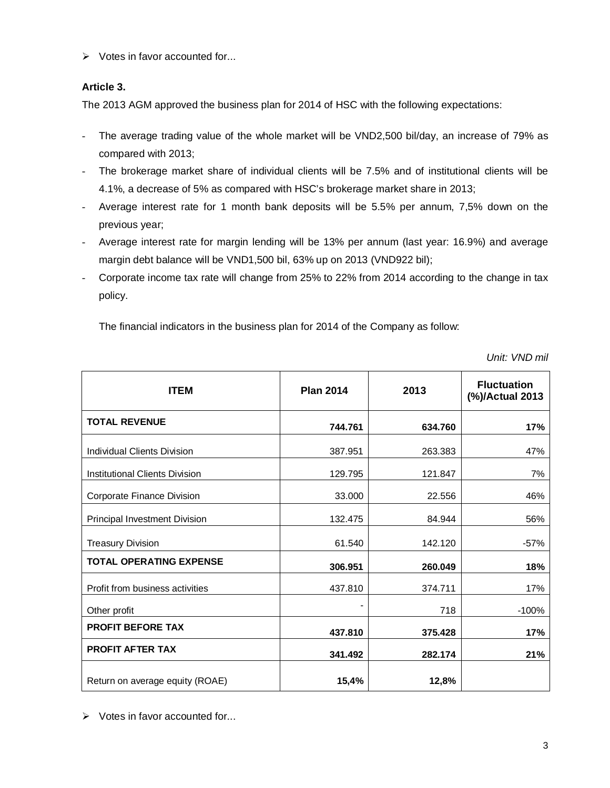$\triangleright$  Votes in favor accounted for...

# **Article 3.**

The 2013 AGM approved the business plan for 2014 of HSC with the following expectations:

- The average trading value of the whole market will be VND2,500 bil/day, an increase of 79% as compared with 2013;
- The brokerage market share of individual clients will be 7.5% and of institutional clients will be 4.1%, a decrease of 5% as compared with HSC's brokerage market share in 2013;
- Average interest rate for 1 month bank deposits will be 5.5% per annum, 7,5% down on the previous year;
- Average interest rate for margin lending will be 13% per annum (last year: 16.9%) and average margin debt balance will be VND1,500 bil, 63% up on 2013 (VND922 bil);
- Corporate income tax rate will change from 25% to 22% from 2014 according to the change in tax policy.

The financial indicators in the business plan for 2014 of the Company as follow:

*Unit: VND mil*

| <b>ITEM</b>                     | <b>Plan 2014</b> | 2013    | <b>Fluctuation</b><br>(%)/Actual 2013 |
|---------------------------------|------------------|---------|---------------------------------------|
| <b>TOTAL REVENUE</b>            | 744.761          | 634.760 | 17%                                   |
| Individual Clients Division     | 387.951          | 263.383 | 47%                                   |
| Institutional Clients Division  | 129.795          | 121.847 | 7%                                    |
| Corporate Finance Division      | 33,000           | 22.556  | 46%                                   |
| Principal Investment Division   | 132.475          | 84.944  | 56%                                   |
| <b>Treasury Division</b>        | 61.540           | 142.120 | $-57%$                                |
| <b>TOTAL OPERATING EXPENSE</b>  | 306.951          | 260.049 | 18%                                   |
| Profit from business activities | 437.810          | 374.711 | 17%                                   |
| Other profit                    |                  | 718     | $-100%$                               |
| <b>PROFIT BEFORE TAX</b>        | 437.810          | 375.428 | 17%                                   |
| <b>PROFIT AFTER TAX</b>         | 341.492          | 282.174 | 21%                                   |
| Return on average equity (ROAE) | 15,4%            | 12,8%   |                                       |

 $\triangleright$  Votes in favor accounted for...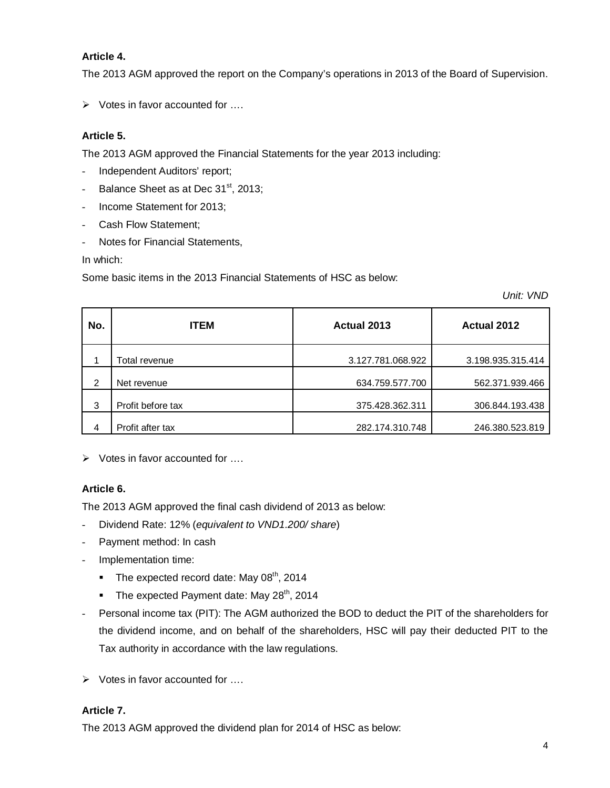# **Article 4.**

The 2013 AGM approved the report on the Company's operations in 2013 of the Board of Supervision.

 $\triangleright$  Votes in favor accounted for  $\dots$ 

# **Article 5.**

The 2013 AGM approved the Financial Statements for the year 2013 including:

- Independent Auditors' report;
- Balance Sheet as at Dec 31<sup>st</sup>, 2013;
- Income Statement for 2013;
- Cash Flow Statement;
- Notes for Financial Statements,

In which:

Some basic items in the 2013 Financial Statements of HSC as below:

*Unit: VND*

| No. | <b>ITEM</b>       | Actual 2013       | Actual 2012       |  |
|-----|-------------------|-------------------|-------------------|--|
|     | Total revenue     | 3.127.781.068.922 | 3.198.935.315.414 |  |
| 2   | Net revenue       | 634.759.577.700   | 562.371.939.466   |  |
| 3   | Profit before tax | 375.428.362.311   | 306.844.193.438   |  |
| 4   | Profit after tax  | 282.174.310.748   | 246.380.523.819   |  |

 $\triangleright$  Votes in favor accounted for ...

### **Article 6.**

The 2013 AGM approved the final cash dividend of 2013 as below:

- Dividend Rate: 12% (*equivalent to VND1.200/ share*)
- Payment method: In cash
- Implementation time:
	- The expected record date: May  $08<sup>th</sup>$ , 2014
	- The expected Payment date: May  $28<sup>th</sup>$ , 2014
- Personal income tax (PIT): The AGM authorized the BOD to deduct the PIT of the shareholders for the dividend income, and on behalf of the shareholders, HSC will pay their deducted PIT to the Tax authority in accordance with the law regulations.
- Votes in favor accounted for ….

### **Article 7.**

The 2013 AGM approved the dividend plan for 2014 of HSC as below: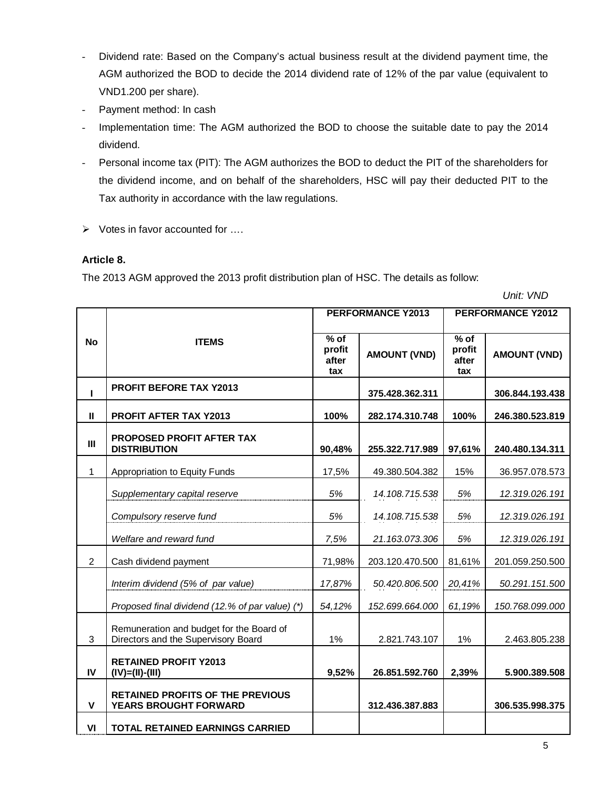- Dividend rate: Based on the Company's actual business result at the dividend payment time, the AGM authorized the BOD to decide the 2014 dividend rate of 12% of the par value (equivalent to VND1.200 per share).
- Payment method: In cash
- Implementation time: The AGM authorized the BOD to choose the suitable date to pay the 2014 dividend.
- Personal income tax (PIT): The AGM authorizes the BOD to deduct the PIT of the shareholders for the dividend income, and on behalf of the shareholders, HSC will pay their deducted PIT to the Tax authority in accordance with the law regulations.
- $\triangleright$  Votes in favor accounted for ....

### **Article 8.**

The 2013 AGM approved the 2013 profit distribution plan of HSC. The details as follow:

 *Unit: VND*

|                | PERFORMANCE Y2013                                                               |                                              |                     | PERFORMANCE Y2012                                 |                     |  |
|----------------|---------------------------------------------------------------------------------|----------------------------------------------|---------------------|---------------------------------------------------|---------------------|--|
| <b>No</b>      | <b>ITEMS</b>                                                                    | $\overline{\%}$ of<br>profit<br>after<br>tax | <b>AMOUNT (VND)</b> | $\sqrt{\frac{9}{6}}$ of<br>profit<br>after<br>tax | <b>AMOUNT (VND)</b> |  |
| I              | <b>PROFIT BEFORE TAX Y2013</b>                                                  |                                              | 375.428.362.311     |                                                   | 306.844.193.438     |  |
| $\mathbf{I}$   | <b>PROFIT AFTER TAX Y2013</b>                                                   | 100%                                         | 282.174.310.748     | 100%                                              | 246.380.523.819     |  |
| III            | PROPOSED PROFIT AFTER TAX<br><b>DISTRIBUTION</b>                                | 90,48%                                       | 255.322.717.989     | 97,61%                                            | 240.480.134.311     |  |
| 1              | Appropriation to Equity Funds                                                   | 17,5%                                        | 49.380.504.382      | 15%                                               | 36.957.078.573      |  |
|                | Supplementary capital reserve                                                   | 5%                                           | 14.108.715.538      | 5%                                                | 12.319.026.191      |  |
|                | Compulsory reserve fund                                                         | 5%                                           | 14.108.715.538      | 5%                                                | 12.319.026.191      |  |
|                | Welfare and reward fund                                                         | 7,5%                                         | 21.163.073.306      | 5%                                                | 12.319.026.191      |  |
| $\overline{2}$ | Cash dividend payment                                                           | 71,98%                                       | 203.120.470.500     | 81,61%                                            | 201.059.250.500     |  |
|                | Interim dividend (5% of par value)                                              | 17,87%                                       | 50.420.806.500      | 20,41%                                            | 50.291.151.500      |  |
|                | Proposed final dividend (12.% of par value) (*)                                 | 54,12%                                       | 152.699.664.000     | 61,19%                                            | 150.768.099.000     |  |
| 3              | Remuneration and budget for the Board of<br>Directors and the Supervisory Board | 1%                                           | 2.821.743.107       | 1%                                                | 2.463.805.238       |  |
| IV             | <b>RETAINED PROFIT Y2013</b><br>$(IV)=(II)-(III)$                               | 9,52%                                        | 26.851.592.760      | 2,39%                                             | 5.900.389.508       |  |
| V              | <b>RETAINED PROFITS OF THE PREVIOUS</b><br>YEARS BROUGHT FORWARD                |                                              | 312.436.387.883     |                                                   | 306.535.998.375     |  |
| VI             | <b>TOTAL RETAINED EARNINGS CARRIED</b>                                          |                                              |                     |                                                   |                     |  |